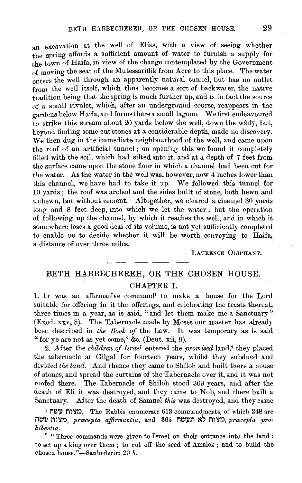an excavation at the well of Elias, with a view of seeing whether the spring affords a sufficient amount of water to furnish a supply for the town of Haifa, in view of the change contemplated by the Government of moving the seat of the Mutessariflik from Acre to this place. The water enters the well through an apparently natural tunnel, but has no outlet from the well itself, which thus becomes a sort of backwaier, the native tradition being that the spring is much further up, and is in fact the source of a small rivulet, which, after an underground course, reappears in the 'gardens below Haifa, and forms there a small lagoon. We first endeavoured  $\frac{1}{10}$  strike this stream about 20 yards below the well, down the wady, but, beyond finding some cut stones at a considerable depth, made no discovery. We then dug in the immediate neighbourhood of the well, and came upon the roof of an artificial tunnel ; on opening this we found it completely filled with the soil, which had silted into it, and at a depth of 7 feet from the surface came upon the stone floor in which a channel had been cut for the water. As the water in the well was, however, now 4 inches lower than this channel, we have had to take it up. We followed this tunnel for 10 yards; the roof was arched and the sides built of stone, both hewn and unhewn, but without cement. Altogether, we cleared a channel 30 yards long and 8 feet deep, into which we let the water; but the operation of following up the channel, by which it reaches the well, and in which it somewhere loses a good deal of its volume, is not yet sufficiently completed to enable us to decide whether it will be worth conveying to Haifa, a distance of over three miles.

LAURENCE OLIPHANT.

# BETH HABBECHEREH, OR THE CHOSEN HOUSE. CHAPTER I.

1. IT was an affirmative command' to make a house for the Lord suitable for offering in it the offerings, and celebrating the feasts thereat, three times in a year, as is said, "and let them make me a Sanctuary" (Exod. xxv, 8). The Tabernacle made by Moses our master has already been described in *the Book of* tbe Law. It was temporary as is said "for ye are not as yet come," &c. (Dent. xii, 9).

2. After the *children of Israel* entered the *promised* land,• they placed the tabernacle at Gilgal for fourteen years, whilst they subdued and divided *the land.* And thence they came to Shiloh and built there a house of stones, and spread the curtains of the Tabernacle over it, and it was not roofed there. The Tabernacle of Shiloh stood 369 years, and after the death of Eli it was destroyed, and they came to Nob, and there built a Sanctuary. After the death of Samuel *this* was destroyed, and they came

1 מצוח עשה. The Rabbis enumerate 613 commandments, of which 248 are מצות עשה, pracepta affirmantia, and 365 **CAL במצות לא תעשה**, pracepta pro*hibentia.* 

2 " Three commands were given to Israel on their entrance into the land : to set up a king over them ; to cut off the seed of Amalek; and to build the chosen house."-Sanhederim 20 *b*.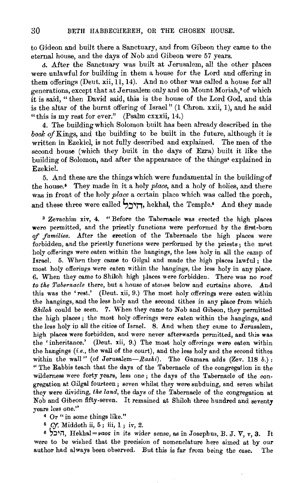to Gideon and built there a Sanctuary, and from Gibeon they came to the eternal house, and the days of Nob and Gibeon were 57 years.

J. After the Sanctuary was built at Jerusalem, all the other places were unlawful for building in them a house for the Lord and offering in them offerings (Deut. xii, 11, 14). And no other was called a house for all generations, except that at Jerusalem only and on Mount Moriah, 3 of which it is said, " then David said, this is the house of the Lord God, and this is the altar of the burnt offering of Israel" (1 Chron. xxii, 1), and he said "this is my rest for ever."  $(Psalm cxxxi, 14.)$ 

4. The building which Solomon built has been already described in the *book of* Kings, and the building to be built in the future, although it is written in Ezekiel, is not fully described and explained. The men of the second house (which they built in the days of Ezra) built it like the building of Solomon, and after the appearance of the things• explained in Ezekiel.

5. And these are the things which were fundamental in the building of the house.<sup>5</sup> They made in it a holy *place*, and a holy of holies, and there was in front of the holy *place* a certain place which was called the porch, and these three were called הירף, hekhal, the Temple.<sup>6</sup> And they made

 $\sigma$   $\mathcal{X}$   $\mathcal{Y}$   $\mathcal{Y}$   $\mathcal{Y}$   $\mathcal{Y}$   $\mathcal{Y}$   $\mathcal{Y}$   $\mathcal{Y}$   $\mathcal{Y}$   $\mathcal{Y}$   $\mathcal{Y}$   $\mathcal{Y}$   $\mathcal{Y}$   $\mathcal{Y}$   $\mathcal{Y}$   $\mathcal{Y}$   $\mathcal{Y}$   $\mathcal{Y}$   $\mathcal{Y}$   $\mathcal{Y}$   $\mathcal{Y}$   $\mathcal{Y}$   $\mathcal{Y}$   $\mathcal{Y}$  were permitted, and the prior of the prices was elected the fight places were permitted, and the priestly functions were performed by the first-born of families. After the erection of the Tabernacle the high places were forbidden, and the priestly functions were performed by the priests ; the most holy offerings were eaten within the hangings, the less holy in all the camp of Israel. 5. When they came to Gilgal and made the high places lawful; the most holy offerings were eaten within the hangings, the less holy in any place.  $\overline{m}$ .  $\overline{m}$  when the same to Shiloh high places were forbidden. *to the Tabernacle Common ingurances* were forough. There was no root the Taberhacie there, but a most of some below and curtains above. And  $t$  the hangings hanging in and the second titles in an angle from which is an angle from which which which which which which we have  $t$  and  $t$  and  $t$  and  $t$  and  $t$  and  $t$  and  $t$  and  $t$  and  $t$  and  $t$  and  $t$  and the hangings, and the less holy and the second tithes in any place from which *Skilok* could be seen. 7. When they came to Nob and Gibeon, they permitted the high places ; the most holy offerings were eaten within the hangings, and the less holy in all the cities of Israel. 8. And when they came to Jerusalem, high places were forbidden, and were never afterwards permitted, and this was the 'inheritance.' (Deut. xii, 9.) The most holy offerings were eaten within the hangings *(i.e.,* the wall of the court), and the less holy and the second tithes  $W_{\text{tot}}$  (c.e., the wall of the court), and the less holy and the second three  $T$  and the wall (of defusatell— $R$  as  $n$ ). The Gamara adds (zev. 118  $\theta$ .): " The Rabbis teach that the days of the Tabernacle of the congregation in the wilderness were forty years, less one; the days of the Tabernacle of the congregation at Gilgal fourteen, seems whilst the year subduing the seven whilst they were subduing, and seven whilst egation at crigal fourteen; seven whilst they were subduing, and seven whilst they were dividing, the land, the days of the Tabernacle of the congregation at Nob and Gibeon fifty-seven. It remained at Shiloh three hundred and seventy years less one." 4 Or " in some things like.''

<sup>6</sup>*Cf.* Middoth ii, 5 ; iii, 1 ; ir, 2.

 $\mathcal{C}\mathcal{F}$ : Middoth ii, 5 ; iii, 1 ; iv, 2. Its wider sense, as in Josephus, B. J. V,  $\pi$  , 3. Its Ushbal pures, in its wider sense, as in Josephus, B. J. V,  $\pi$  , 3. Its were to be wished that the precision of nomenclature here aimed at by our were to be wished that the precision of nomenclature here aimed at by our author had always been observed. But this is far from being the case. The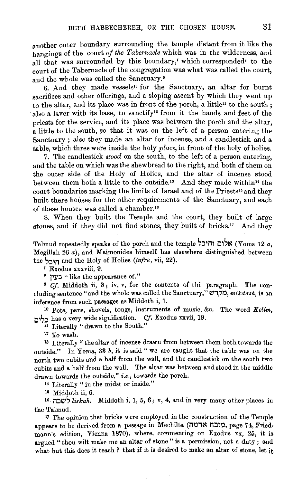another outer boundary surrounding the temple distant from it like the hangings of the court *of the Tabernacle* which was in the wilderness, and all that was surrounded by this boundary,' which corresponded<sup>8</sup> to the court of the Tabernacle of the congregation was what was called the court, and the whole was called the Sanctuary.•

6. And they made vessels<sup>10</sup> for the Sanctuary, an altar for burnt sacrifices and other offerings, and a sloping ascent by which they went up to the altar, and its place was in front of the porch, a little<sup>11</sup> to the south : also a laver with its base, to sanctify<sup>12</sup> from it the hands and feet of the priests for the service, and its place was between the porch and the altar, a little to the south, so that it was on the left of a person entering the Sanctuary ; also they made an altar for incense, and a candlestick and a table, which three were inside the holy *place,* in front of the holy of holies.

7. The candlestick *stood* on the south, to the left of a person entering, and the table on which was the shewbread to the right, and both of them on the outer side of the Holy of Holies, and the altar of incense stood between them both a little to the outside." And they made within" the court boundaries marking the limits of Israel and of the Priests" and they built there houses for the other requirements of the Sanctuary, and each of these houses was called a chamber."

8. When they built the Temple and the court, they built of large stones, and if they did not find stones, they built of bricks.<sup>17</sup> And they

Talmud repeatedly speaks of the porch and the temple S::~~i11 l:l1',~ (Yoma 12 *a,*  Megillah  $26a$ ), and Maimonides himself has elsewhere distinguished between the <sub>Title</sub> and the Holy of Holies *(infra, vii, 22)*.

' Exodus xxxviii, 9.

s **)lll::l** "like the appearance of."

<sup>9</sup> *Cf.* Middoth ii, 3; iv, v, for the contents of thi paragraph. The concluding sentence " and the whole was called the Sanctuary," כוקדש, mikdash, is an inference from such passages as Middoth i, 1.

1o Pots, pans, shovels, tongs, instruments of music, &c. The word *Kelim,*  l:l~',::~ has a very wide signification. *Cf.* Exodus uvii, 19.

<sup>11</sup> Literally "drawn to the South."

12 To wash.

 $13$  Literally "the altar of incense drawn from between them both towards the outside." In Yoma, 33 *b,* it is said" we are taught that the table was on the north two cubits and a half from the wall, and the candlestick on the south two cubits and a half from the wall. The altar was between and stood in the middle drawn towards the outside," *i.e.,* towards the porch.

<sup>14</sup> Literally " in the midst or inside."

15 Middoth ii, 6.

<sup>16</sup>il::l~', *liskah.* Middoth i, **1,** 5, 6; v, 4, and in very many other places in the Talmud.

17 The opinion that bricks were employed in the construction of the Temple appears to be derived from a passage in Mechilta (מובח ארמה), page 74, Friedmanu's edition, Vienna 1870), where, commenting on Exodus xx, 25, it is argued "thou wilt make me an altar of stone" is a permission, not a duty; and what but this does it teach *?* that if it is desired to make an altar of stone, let it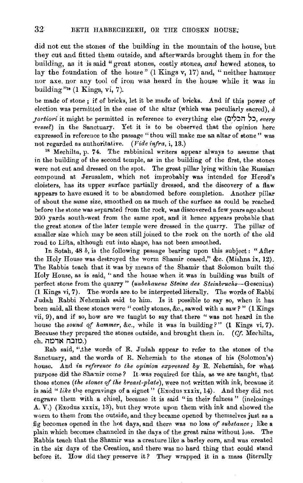did not cut the stones of the building in the mountain of the house, but. they cut and fitted them outside, and afterwards brought them in for the building, as it is said "great stones, costly stones, *and* hewed stones, to lay the foundation of the house" (1 Kings v, 17) and, "neither hammer nor axe, nor any tool of iron was heard in the house while it was in building "18 **(1** Kings, vi, 7).

be made of stone ; if of bricks, let it be made of bricks. And if this power of election was permitted in the case of the altar (which was peculiarly sacred),  $\dot{a}$ *;ortim·1:* it might be permitted in reference to everything else (t:JIS:m ~:l, *every vessel)* in the Sanctuary. Yet it is to be observed that the opinion here expressed in reference to the passage "thou will make me an altar of stone" was not regarded as authoritative. *(Vide infra,* i, 13.)

<sup>18</sup> Mechilta, p. 74. The rabbinical writers appear always to assume that in the building of the second temple, as in the building of the first, the stones were not cut and dressed on the spot. The great pillar lying within the Russian compound at Jerusalem, which not improbably was intended for Herod's cloisters, has its upper surface partially dressed, and the discovery of a flaw appears to have caused it to be abandomed before completion. Another pillar of about the same size, smoothed on as much of the surface as could be reached before the stone was separated from the rock, was discovered a few years ago about 200 yards south-west from the same spot, and it hence appears probable that the great stones of the later temple were dressed in the quarry. The pillar of smaller size which may be seen still joined to the rock on the north of the old road to Lifta, although cut into shape, has not been smoothed.

In Sotah, 48 *b,* is the following passage bearing upon this subject: "After the Holy House was destroyed the worm Shamir ceased," &c. (Mishna ix, 12). The Rabbis teach that it was by means of the Shamir that Solomon built the Holy House, as is said, ''and the house when it was in building was built of perfect stone from the quarry" *(unbehauene Steine des Steinbruchs-Gesenius)*  (1 Kings vi, 7), The words are. to be interpreted literally. The words of Rabbi Judah Rabbi Nehemiah said to him. Is it possible to say so, when it has been said, all these stones were "costly stones, &c., sawed with a saw? " **(1** Kings vii, 9), and if so, how are we taught to say that there "was not heard in the house the *sound of hammer,* &c., while it was in building?" **(1** Kings vi, 7). Because they prepared the stones outside, and brought them in. *(Cf.* Meehilta, eh. **ארמה**.)

Rab said, ".the words of R. Judah appear to refer to the stones of the Sanctuary, and the words of R. Nehemiah to the stones of his (Solomon's) house. And *in reference to the opinion expressed by* R. Nehemiah, for what purpose did the Shamir come? It.was required for this, as we are taught, that those stones *(the 8tones of the breast-plate),* were not written with ink, because it is said " like the engravings of a signet" (Exodus xxxix, 14). And they did not engrave them with a chisel, because it is said "in their fulness" (inclosings A. V.) (Exodus xxxix, 13), but they wrote upon them with ink and showed the worm to them from the outside, and they became opened by themselves just as a fig becomes opened in the hot days, and there was no loss *of substance;* like a plain which becomes channeled in the days of the great rains without loss. The Rabbis teach that the Shamir was a creature like a barley corn, and was created in the six days of the Creation, and there was no hard thing that could stand before it. How did they preserve it? They wrapped it in a mass (literally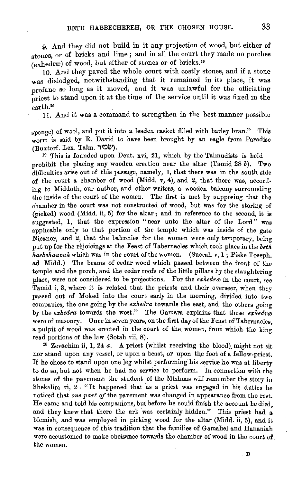9. And they did not build in it any projection of wood, but either of stones, or of bricks and lime ; and in all the court they made no porches  $(e^x)$  of wood, but either of stones or of bricks.<sup>19</sup>

10. And they paved the whole court with costly stones, and if a stone was dislodged, notwithstanding that it remained in its place, it was profane so long as it moved, and it was unlawful for the officiating priest to stand upon it at the time of the service until it was fixed in the earth.20

11. And it was a command to strengthen in the best manner possible

sponge) of wool, and put it into a leaden casket filled with barley bran." This worm is said by R. David to have been brought by an eagle from Paradise (שמיר. Talm. שמיר).

 $19$  This is founded upon Deut. xvi, 21, which by the Talmudists is held prohibit the placing any wooden erection near the altar (Tamid 28  $b$ ). Two difficulties arise out of this passage, namely, 1, that there was in the south side of the court a chamber of wood (Midd. v, 4), and 2, that there was, according to Middoth, our author, and other writers, a wooden balcony surrounding the inside of the court of the women. The first is met by supposing that the chamber in the court was not constructed of wood, but was for the storing of (picked) wood (Midd. ii, 5) for the altar; and in reference to the second, it is suggested, 1, that the expression "near unto the altar of the Lord" was applicable only to that portion of the temple which was inside of the gate Nicanor, and 2, that the balconies for the women were only temporary, being put up for the rejoicings at the Feast of Tabernacles which took place in the *beth hashshaavah* which was in the court of the women. (Succah v, 1; Piske Toseph. ad Midd.) The beams of cedar wood which passed between the front of the temple and the porch, and the cedar roofs of the little pillars by the slaughtering place, were not considered to be projections. For the *exhedra* in the court, see Tamid i, 3, where it is related that the priests and their overseer, when they passed out of Moked into the court early in the morning, divided into two companies, the one going by the *exkedra* towards the east, and the others going by the *exkedra* towards the west." The Gamara explains that these *exhedrce*  were of masonry. Once in seven years, on the first day of the Feast of Tabernacles, a pulpit of wood was erected in the court of the women, from which the king read portions of the law (Sotah vii, 8).

 $20$  Zevachim ii, 1, 24 *a*. A priest (whilst receiving the blood) might not sit nor stand upon any vessel, or upon a beast, or upon the foot of a fellow-priest. If he chose to stand upon one leg whilst performing his service he was at liberty to do so, but not when he had no service to perform. In connection with the stones of the pavement the student of the Mishnas will remember the story in Shekalim vi,  $2:$  "It happened that as a priest was engaged in his duties he noticed that *one part* of the pavement was changed in appearance from the rest. He came and told his companions, but before he could finish the account he died. and they knew that there the ark was certainly hidden." This priest had a blemish, and was employed in picking wood for the altar (Midd. ii, 5), and it was in consequence of this tradition that the families of Gamaliel and Hananiah were accustomed to make obeisance towards the chamber of wood in the court of the women.

D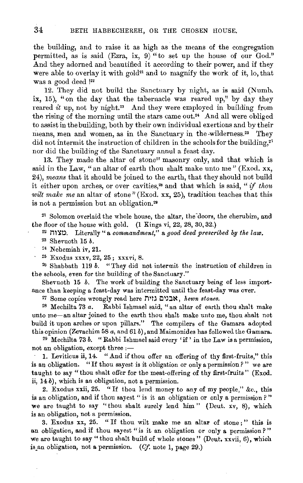the building, and to raise it as high as the means of the congregation permitted, as is said (Ezra, ix, 9) "to set up the house of our God." And they adorned and beautified it according to their power, and if they were able to overlay it with gold<sup>21</sup> and to magnify the work of it, lo, that was a good deed !22

12. They did not build the Sanctuary by night, as is said (Numb. ix, 15), "on the day that the tabernacle was reared up," by day they reared *it* up, not by night.<sup>23</sup> And they were employed in building from the rising of the morning until the stars came out.<sup>24</sup> And all were obliged to assist in the building, both by their own individual exertions and by their means, men and women, as in the Sanctuary in the wilderness.<sup>25</sup> They did not intermit the instruction of children in the schools for the building,<sup>23</sup> nor did the building of the Sanctuary annul a feast day.

13. They made the altar of stone<sup>27</sup> masonry only, and that which is said in the Law, "an altar of earth thou shalt make unto me" (Exod. xx, 24), *means* that it should be joined to the earth, that they should not build it either upon arches, or over cavities,<sup>28</sup> and that which is said, "if thou *wilt make me* an altar of stone" (Exod. xx, 25), tradition teaches that this is not a permission but an obligation.<sup>29</sup>

<sup>21</sup> Solomon overlaid the whole house, the altar, the doors, the cherubim, and the floor of the house with gold. (1 Kings vi, 22, 28, 30, 32.) 22 iW~~. Literally " a *commandment,"* a *good deed prescribed* by *tke law.* 

<sup>23</sup> Shevuoth 15 *b*.

<sup>24</sup> Nehemiah iv, 21.<br><sup>25</sup> Exodus xxxv, 22, 25; xxxvi, 8.<br><sup>26</sup> Shabbath 119 *b.* "They did not intermit the instruction of children in the schools, even for the building of the Sanctuary."

Shevuoth 15 *b*. The work of building the Sanctuary being of less importance than keeping a feast-day was intermitted until the feast-day was over.

*<sup>27</sup>*Some copies wrongly read here J11tJ I:JI~J~, *hewn stones.* 

2S Mechilta 73 *a.* Rabbi Ishmael said, "an altar of earth thou shalt make unto me-an altar joined to the earth thou shalt make unto me, thou shalt not build it upon arches or upon pillars." The compilers of the Gamara adopted this opinion (Zevachim 58 *a,* and 61 b), and Maimonides has followed the Gamara. 29 Mechilta 73 *b.* "Rabbi Ishmael said every 'if ' in the Law is a permission,

not an obligation, except three :-

1. Leviticus ii, 14. "And if thou offer an offering of thy first-fruits," this is an obligation. "If thou sayest is it obligation or only a permission? " we are taught to say "thou shalt offer for the meat-offering of thy first-fruits" (Exod. ii, 14 b), which is an obligation, not a permission.

2. Exodus xxii, 25. "If thou lend money to any of my people," &c., this is an obligation, and if thou say est " is it an obligation or only a permission ? " we are taught to say "thou shalt surely lend him" (Deut. xv, 8), which is an obligation, not a permission.

3. Exodus xx, 25. " If thou wilt make me an altar of stone ; " this is an obligation, and if thou sayest "is it an obligation or only a permission?" we are taught to say "thou shalt build of whole stones" (Deut. xxvii, 6), which is.an obligation, not a permission. *(Of.* note 1, page 29.)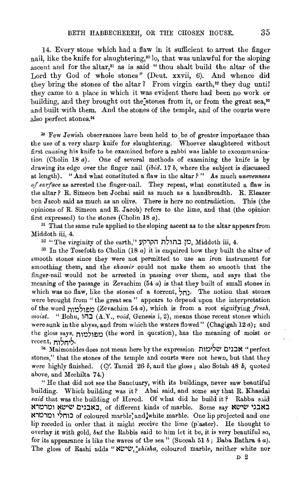14. Every stone which had a flaw in it sufficient to arrest the finger nail, like the knife for slaughtering,<sup>30</sup> lo, that was unlawful for the sloping ascent and for the altar," as is said "thou shalt build the altar of the Lord thy God of whole stones" (Deut. xxvii, 6). And whence did they bring the stones of the altar ? From virgin earth,<sup>32</sup> they dug until they came to a place in which it was evident there had been no work or building, and they brought out the stones from it, or from the great sea,<sup>33</sup> and built with them. And the stones of the temple, and of the courts were , also perfect stones. 34

<sup>30</sup> Few Jewish observances have been held to be of greater importance than the use of a very sharp knife for slaughtering. Whoever slaughtered without first causing his knife to be examined before a rabbi was liable to excommunication (Cholin 18 *a).* One of several methods of examining the knife is by drawing its edge over the finger nail *(ib·id.* 17 *b,* where the subject is discussed at length). "And what constituted a flaw in the altar?" As much *unevenness of surface* as arrested the finger-nail. They repeat, what constituted a flaw in the altar ? R. Simeon ben Jochai said as much as a handbreadth. R. Eleazer ben Jacob said as much as an olive. There is here no contradiction. This (the opinions of R. Simeon and R. Jacob) refers to the lime, and that (the opinion first expressed) to the stones (Cholin 18 *a).* 

<sup>31</sup> That the same rule applied to the sloping ascent as to the altar appears from Middoth iii, 4.<br>32 "The virginity of the earth," הקרקע בתולת הקרקע, Middoth iii, 4.<br>33 In the Tosefoth to Cholin (18 a) it is enquired how they built the altar of

smooth stones since they were not permitted to use an iron instrument for smoothing them, and the *shamir* could not make them so smooth that the finger-nail would not be arrested in passing over them, and says that the meaning of the passage in Zevachim  $(54 a)$  is that they built of small stones in which was no flaw, like the stones of a torrent,  $_{\text{III}}$ . The notion that stones were brought from " the great sea " appears to depend upon the interpretation of the word n1r.l~1Elr.l (Zevachim 54 *a),* which is from a root signifying *fresh, moist.* "Bohu, 1i1:J (A.V., *void,* Genesis i, 2), means those recent stones which were sunk in the abyss, and from which the waters flowed" (Chagigah 12 *a);* and the gloss says, מפולמות (the word in question), has the meaning of moist or recent, <del>חלוח</del>,

34 Maimonides does not mean here by the expression "אבנים שלימות א stones," that the stones of the temple and courts were not hewn, but that they were highly finished. *(Cf. Tamid 26-b, and the gloss; also Sotah 48-b, quoted* above, and Mechilta 74.)

" He that did not see the Sanctuary, with its buildings, never saw beautiful building. Which building was it? Abai said, and some say that R. Khasdai said that was the building of Herod. Of what did he build it? Rabba said באבנים שישא ומרמרא of different kinds of marble. Some say CHLI ii't"lr.lir.l1 l'n1:J of coloured marble; andjwhite marble. One lip projected and one lip receded in order that it might receive the lime (plaster). He thought to overlay it with gold, *but* the Rabbis said to him let it be, it is very beautiful so, for its appearance is like the waves of the sea" (Succah 51 $b$ ; Baba Bathra  $4a$ ). The gloss of Rashi adds "NUW, shisha, coloured marble, neither white nor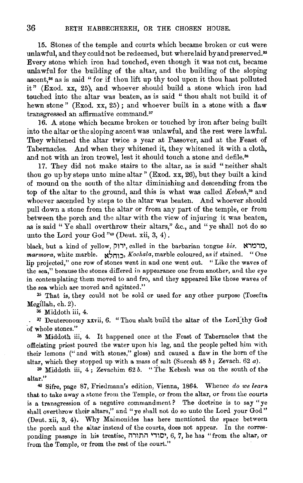15. Stones of the temple and courts which became broken or cut were unlawful, and they could not be redeemed, but where laid by and preserved.<sup>35</sup> Every stone which iron had touched, even though it was not cut, became unlawful for the building of the altar, and the building of the sloping ascent, $^{36}$  as is said "for if thou lift up thy tool upon it thou hast polluted it" (Exod. xx, 25), and whoever should build a stone which iron had touched into the altar was beaten, as is said " thou shalt not build it of hewn stone" (Exod. xx, 25); and whoever built in a stone with a flaw transgressed an affirmative command.37

16. A stone which became broken or touched by iron after being built into the altar or the sloping ascent was unlawful, and the rest were lawful. They whitened the altar twice a year at Passover, and at the Feast of Tabernacles. And when they whitened it, they whitened it with a cloth, and not with an iron trowel, lest it should touch a stone and defile.<sup>38</sup>

17. They did not make stairs to the altar, as is said " neither shalt thou go up by steps unto mine altar" (Exod. xx, 26), but they built a kind of mound on the south of the altar diminishing and descending from the top of the altar to the ground, and this is what was called *Kebesh*,<sup>39</sup> and whoever ascended by steps to the altar was beaten. And whoever should pull down a stone from the altar or from any part of the temple, or from between the porch and the altar with the view of injuring it was beaten, as is said "Ye shall overthrow their altars," &c., and "ye shall not do so unto the Lord your God  $"^{40}$  (Deut. xii, 3, 4).

black, but a kind of yellow, ירוק, called in the barbarian tongue *bis.*  $\alpha$ רמרא, *mm·mora,* white marble. ~~nt:l> *Kochala,* marble coloured, as if stained. "One lip projected," one row of stones went in and one went out. " Like the waves of the sea," because the stones differed in appearance one from another, and the eye in contemplating them moved to and fro, and they appeared like those waves of the sea which are moved and agitated."

<sup>35</sup> That is, they could not be sold or used for any other purpose (Tosefta Megillah, eh. 2).

36 Middoth iii, 4.

• 37 Deuteronomy xxvii, 6. "Thou shalt build the altar of the Lord)hy God of whole stones." '

38 Middoth iii, 4. It happened once at the Feast of Tabernacles that the officiating priest poured the water upon his leg, and the people pelted him with their lemons ("and with stones," gloss) and caused a flaw in the horn of the altar, which they stopped up with a mass of salt (Succah 48 *b;* Zevach. 62 a).

39 Middoth iii, 4 ; Zevachim 62 *b.* " The Kebesh was on the south of the altar."

40 Sifre, page 87, Friedmann's edition, Vienna, 1864. Whence *do we learn.*  that to take away a stone from the Temple, or from the altar, or from the courts is a transgression of a negative commandment? The doctrine is to say "ye shall overthrow their altars," and "ye shall not do so unto the Lord your God" (Deut. xii, 3, 4). Why Maimonides has here mentioned the space between the porch and the altar instead of the courts, does not appear. In the corresponding passage in his treatise, יסודי התורה, 6, 7, he has "from the altar, or from the Temple, or from the rest of the court."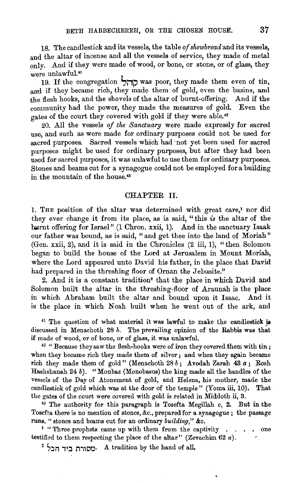18. The candlestick and its vessels, the table *of shewbread* and its vessels, and the altar of incense and all the vessels of service, they made of metal only. And if they were made of wood, or bone, or stone, or of glass, they were unlawful.<sup>41</sup>

19. If the congregation  $\overrightarrow{111}$  was poor, they made them even of tin, and if they became rich, they made them of gold, even the basins, and the flesh hooks, and the shovels of the altar of burnt-offering. And if the community had the power, they made the measures of gold. Even the gates of the court they covered with gold if they were able.<sup>42</sup>

20. All the vessels *of the Sanctuary* were made expressly for sacred use, and such as were made for ordinary purposes could not be used for sacred purposes. Sacred vessels which had ·not yet been used for sacred purposes might be used for ordinary purposes, but after they had been used for sacred purposes, it was unlawful to use them for ordinary purposes. Stones and beams cut for a synagogue could not be employed for a building in the mountain of the house. <sup>43</sup>

## CHAPTER II.

I. THE position of the altar was determined with great care,' nor did they ever change it from its place, as is said, "this *is* the altar of the burnt offering for Israel" (1 Chron. xxii, 1). And in the sanctuary Isaak our father was bound, as is said, "and get thee into the land of Moriah" (Gen. xxii, 2), and it is said in the Chronicles (2 iii, 1), "then Solomon began to build the house of the Lord at Jerusalem in Mount Moriah, where the Lord appeared unto David his father, in the place that David had prepared in the threshing floor of Ornan the Jebusite."

2. And it is a constant tradition<sup>2</sup> that the place in which David and Solomon built the altar in the threshing-floor of Araunah is the place in which Abraham built the altar and bound upon it Isaac. And it is the place in which Noah built when he went out of the ark; and

 $41$  The question of what material it was lawful to make the candlestick is discussed in Menachoth 28 *b.* The prevailing opinion of the Rabbis was that if made of wood, or of bone, or of glass, it was unlawful.<br> $42$  "Because they saw the flesh-hooks were of iron they covered them with tin;

when they became rich they made them of silver; and when they again became rich they made them of gold" (Menachoth 28 *b;* Avodah Zarah 43 a; Rosh Hashshanah  $24 b$ . "Monbaz (Monobasus) the king made all the handles of the vessels of the Day of Atonement of gold, and Helena, his mother, made the candlestick of gold which was at the door of the temple" (Yoma iii, 10). That the gates of the court were covered with gold is related in Middoth ii, 3.

<sup>43</sup> The authority for this paragraph is Tosefta Megillah c, 2. But in the Tosefta there is no mention of stones, &c., prepared for a synagogue; the passage runs, "stones and beams cut for an ordinary *building*," &c.<br><sup>1</sup> "Three prophets came up with them from the captivity . . . . one

testified to them respecting the place of the altar" (Zevachim 62 a).

 $^2$ <sup>2</sup> <sup>2</sup> · מסורת ביד הכל.<sup>1</sup> A tradition by the hand of all,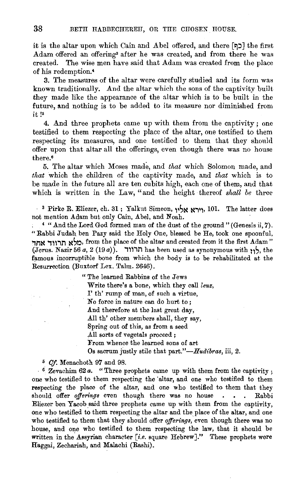it is the altar upon which Cain and Abel offered, and there **[בּוֹם**] the first Adam offered an offering<sup>3</sup> after he was created, and from there he was created. The wise men have said that Adam was created from the place of his redemption.•

3. The measures of the altar were carefully studied and its form was known traditionally. And the altar which the sons of the captivity built they made like the appearance of the altar which is to be built in the future, and nothing is to be added to its measure nor diminished from it !<sup>5</sup>

4. And three prophets came up with them from the captivity; one testified to them respecting the place of the altar, one testified to them respecting its measures, and one testified to them that they should offer upon that altar all the offerings, even though there was no house there.•

5. The altar which Moses made, and *that* which Solomon made, and *that* which the children of the captivity made, and *that* which is to be made in the future all are ten cubits high, each one of them, and that which is written in the Law, "and the height thereof *shall be* three

3 Pirke R. Eliezer, eh. 31; Yalkut Simeon, l~S~ ~ill, **101.** The latter does not mention Adam but only Cain, Abel, and Noah.<br>4 ".And the Lord God formed man of the dust of the ground" (Genesis ii, 7).

"Rabbi Judah ben Pazy said the Holy One, blessed be He, took one spoonful, מלא תרווד אחד, from the place of the altar and created from it the first Adam.  $(Jerus. \text{ Nazir } 56 a, 2 (19 a)).$  **illin has been used as synonymous with**  $\gamma$ **, the** famous incorruptible bone from which the body is to be rehabilitated at the Resurrection (Buxtorf Lex. Talm. 2646).

> "The learned Rabbins of the Jews Write there's a bone, which they call *leuz*, I' th' rump of man, of such a virtue, No force in nature can do hurt to ; And therefore at the last great day, .All th' other members shall, they say, Spring out of this, as from a seed .All sorts of vegetals proceed ; From whence the learned sons of art Os sacrum justly stile that *part."-Hudibras,* iii, 2.

• *Of.* Menachoth 97 and 98.

6 Zevachim 62 *a.* "Three prophets came up with them from the captivity ; one who testified to them respecting the 'altar, and one who testified to them respecting the place of the altar, and one who testified to them that they should offer *offerings* even though there was no house . . . Rabbi Eliezer ben Yacob said three prophets came up with them from the captivity, one who testified to them respecting the altar and the place of the altar, and one who testified to them that they should offer *offerings*, even though there was no house, and one who testified to them respecting the law, that it should be written in the Assyrian character [i.e. square Hebrew]." These prophets were Haggai, Zechariah, and Malachi (Rashi).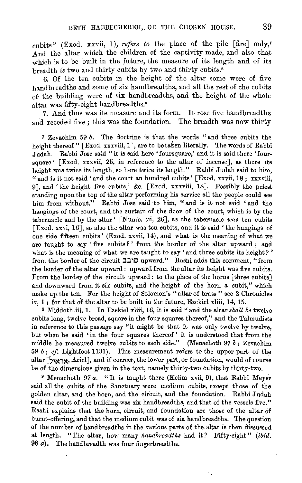cubits" (Exod. xxvii, 1), *refers to* the place of. the pile [fire] only.' And the altar which the children of the captivity made, and also that which is to be built in the future, the measure of its length and of its breadth *is* two and thirty cubits by two and thirty cubits.•

6. Of the ten cubits in the height of the altar some were of five handbreadths and some of six handbreadths, and all the rest of the cubits of the building were of six handbreadths, and the height of the whole altar was fifty-eight handbreadths.•

7. And thus was its measure and its form. It rose five handbreadths and receded five ; this was the foundation. The breadth was now thirty

*7* Zevachim 59 *b*. The doctrine is that the words "and three cubits the height thereof " [Exod. xxxviii, 1], are to be taken literally. The words of Rabbi Judah. Rabbi Jose said "it is said here 'foursquare,' and it is said there 'foursquare ' [Exod. xxxvii, 25, in reference to the altar of incense], as there its height was twice its length, so here twice its length." Rabbi Judah said to him, " and is it not said 'and the court an hundred cubits' [Exod. xxvii, 18: xxxviii, 9], and 'the height five cubits,' &c. [Exod. xxxviii, 18]. Possibly the priest standing upon the top of the altar performing his service all the people could see him from without." Rabbi Jose said to him, "and is it not said 'and the hangings of the court, and the curtain of the door of the court, which is by the tabernacle and by the altar' [Numb. iii, 26], as the tabernacle *was* ten cubits [Exod. xxvi, 16], so also the altar was ten cubits, and it is said 'the hangings of one side fifteen cubits' (Exod. xxvii, 14), and what is the meaning of what we are taught to say 'five cubits?' from the border of the altar upward; and what is the meaning of what we are taught to say 'and three cubits its height?' from the border of the circuit **גבב upward."** Rashi adds this comment, "from the border of the altar upward : upward from the altar its height was five cubits. From the border of the circuit upward: to the place of the horns [three cubits] and downward from it six cubits, and the height of the horn a cubit," which make up the ten. For the height of Solomon's "altar of brass" see 2 Chronicles iv, **1;** for that of the altar to be built in the future, Ezekiel xliii, 14, 15.

s Middoth iii, 1. In Ezekiel xliii, 16, it is said "and the altar *shall be* twelve cubits long, twelve broad, square in the four squares thereof," and the Talmudists in reference to this passage say "it might be that it was only twelve by twelve, but when he said 'in the four squares thereof' it is understood that from the middle he measured twelve cubits to each side." (Menachoth 97 *b* ; Zevachim 59 *b; cf.* Lightfoot 1131). This measurement refers to the upper part of the altar [ $~$ אַראיל], Ariel], and if correct, the lower part, or foundation, would of course be of the dimensions given in the text, namely thirty-two cubits by thirty-two.

<sup>9</sup> Menachoth 97 *a*. "It is taught there (Kelim xvii, 9), that Rabbi Meyer said all the cubits of the Sanctuary were medium cubits, except those of the golden altar, and the horn, and the circuit, and the foundation. Rabbi Judah said the cubit of the building was six handbreadths, and that of the vessels five." Rashi explains that the horn, circuit, and foundation are those of the altar of burnt-offering,' and that the medium cubit was of six handbreadths. The question of the number of handbreadths in the various parts of the altar is then discussed at length. "The altar, how many *handbreadths* had it? Fifty-eight" *(ibid.*  98 *a*). The handbreadth was four fingerbreadths.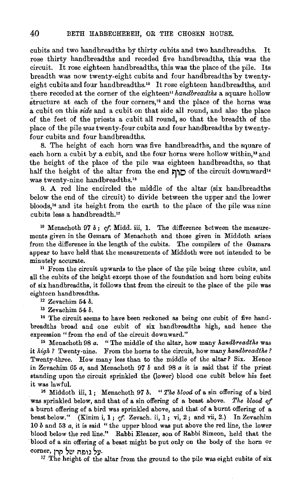cubits and two handbreadths by thirty cubits and two handbreadths. It rose thirty handbreadths and receded five handbreadths, this was the circuit. It rose eighteen handbreadths, this was the place of the pile. Its breadth was now twenty-eight cubits and four handbreadths by twentyeight cubits and four handbreadths.'• It rose eighteen handbreadths, and there receded at the corner of the eighteen" *handbreadths* a square hollow structure at each of the four corners,<sup>12</sup> and the place of the horns was a cubit on this *side* and a cubit on that side all round, and also the place of the feet of the priests a cubit all round, so that the breadth of the place of the pile *was* twenty-four cubits and four handbreadths by twentyfour cubits and four handbreadths.

8. The height of each horn was five handbreadths, and the square of each horn a cubit by a cubit, and the four horns were hollow within,<sup>13</sup> and the height of the place of the pile was eighteen handbreadths, so that half the height of the altar from the end  $\Box$ 0 of the circuit downward" was twenty-nine handbreadths.<sup>15</sup>

9. A red line encircled the middle of the altar (six handbreadths below the end of the circuit) to divide between the upper and the lower bloods,'• and its height from the earth to the place of the pile was nine cubits less a handbreadth."

 $10$  Menachoth 97  $b$ ; cf. Midd. iii, 1. The difference between the measurements given in the Gemara of Menachoth and those given in Middoth arises from the difference in the length of the cubits. The compilers of the Gamara appear to have held that the measurements of Middoth were not intended to be minutely accurate.

n From the circuit upwards to the place of the pile being three cubits, and all the cubits of the height except those of the foundation and horn being cubits of six handbreadths, it follows that from the circuit to the place of the pile was eighteen handbreadths. 12 Zevachim 54 *b.* 

13 Zevachim 54 *b.* 

<sup>14</sup> The circuit seems to have been reckoned as being one cubit of five handbreadths broad and one cubit of six handbreadths high, and hence the expression " from the end of the circuit downward." <sup>15</sup> Menachoth 98 *a*. "The middle of the altar, how many *handbreadths* was

it *high ?* Twenty-nine. From the horns to the circuit, how many *handbreadths?*  Twenty-three. How many less than to the middle of the altar? Six. Hence in Zevachim 65 *a,* and Menachoth 97 *b* and 98 *a* it is said that if the priest standing upon the circuit sprinkled the (lower) blood one cubit below his feet it was lawful. 16 Middoth iii, 1 ; Menachoth 97 *b.* " *The blood* of a sin offering of a bird

was sprinkled below, and that of a sin offering of a beast above. *The blood of*  a burnt offering of a bird was sprinkled above, and that of a burnt offering of a beast below." (Kinim i, 1; cf. Zevach. ii, 1; vi, 2; and vii, 2.) In Zevachim 10 *b* and 53 *a,* it is said " the upper blood was put above the red line, the lower blood below the red line." Rabbi Eleazer, son of Rabbi Simeon, held that the blood of a sin offering of a beast might be put only on the body of the horn or corner, נל גופה של קרן<br><sup>17</sup> The height of the altar from the ground to the pile was eight cubits of six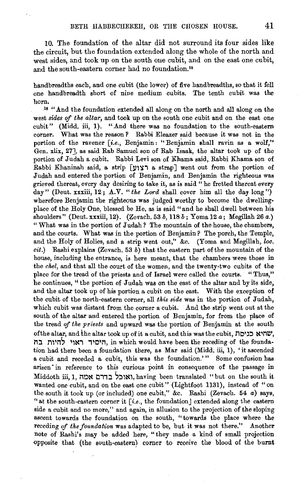10. The foundation of the altar did not surround its four sides like the circuit, but the foundation extended along the whole of the north and west sides, and took up on the south one cubit, and on the east one cubit, and the south-eastern corner had no foundation."

hand breadths each, and one cubit (the lower) of five hand breadths, so that it fell one handbreadth short of nine medium cubits. The tenth cubit was the horn.

la "And the foundation extended all along on the north and all along on the west *sides* of *the altar,* and took up on the south one cubit and on the east one cubit" (Midd. iii, 1). "And there was no foundation to the south-eastern corner. What was the reason P Rabbi Eleazer said because it was not in the portion of the ravener [i.e., Benjamin: "Benjamin shall ravin as a wolf," Gen. xlix, 27], as said Rab Samuel son of Rab Isaak, the altar took up of the portion of Judah a cubit. Rabbi Levi son of Khama said, Rabbi Khama son of Rabbi Khaninah said, a strip **[l)W1** a strap J went out from the portion of Judah and entered the portion of Benjamin, and Benjamin the righteous was grieved thereat, every day desiring to take it, as is said "he fretted thereat every day" (Deut. xxxiii, 12;  $A.\nabla$ . "*the Lord* shall cover him all the day long") wherefore Benjamin the righteous was judged worthy to become the dwellingplace of the Holy One, blessed be He, as is said "and he shall dwell between his shoulders" (Deut. xxxiii, 12). (Zevach. 53 *b,* 118 *b* ; Yoma 12 a; Megillah 26 a.) "What was in the portion of **J** udah? The mountain of the house, the chambers, and the courts. What was in the portion of Benjamin ? The porch, the Temple, and the Holy of Holies, and a strip went out," &c. (Yoma and Megillah, loc. *cit.)* Rashi explains (Zevach. 53 *b)* that the eastern part of the mountain of the house, including the entrance, is here meant, that the chambers were those in the *chel,* and that all the court of the women, and the twenty-two cubits of the place for the tread of the priests and of Israel were called the courts. "Thus," he continues, " the portion of Judah was on the east of the altar and by its side, and the altar took up of his portion a cubit on the east. With the exception of the cubit of the north-eastern corner, all *this side* was in the portion of Judah, which cubit was distant from the corner a cubit. And the strip went out at the south of the altar and entered the portion of Benjamin, for from the place of the tread of *the priests* and upward was the portion of Benjamin at the south of the altar, and the altar took up of it a cubit, and this was the cubit, no~~:~ ~~MW, **היסיד ראוי להיות בה**, in which would have been the receding of the foundation had there been a foundation there, as Mar said (Midd. iii, 1), 'it ascended a cubit and receded a cubit, this was the foundation.'" Some confusion has arisen in reference to this curious point in consequence of the passage in Middoth iii, 1, **ואוכל בדרם אמה**. having been translated "but on the south it wanted one cubit, and on the east one cubit" (Lightfoot 1131), instead of "on the south it took up (or included) one cubit," &c. Rashi (Zevach. 54 *a)* says, "at the south-eastern corner it  $[i.e.,$  the foundation] extended along the eastern side a cubit and no more," and again, in allusion to the projection of the sloping ascent towards the foundation on the south, "towards the place where the receding *of the foundation* was adapted to be, but it was not there." Another note of Rashi's may be added here, "they made a kind of small projection opposite that (the south-eastern) corner to receive the blood of the burnt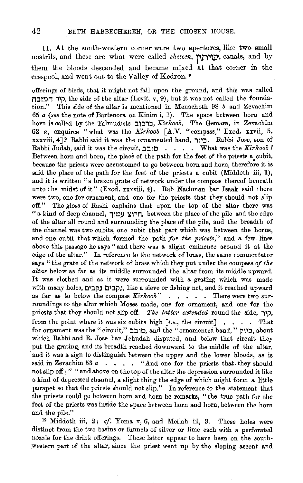11. At the south-western corner were two apertures, like two small nostrils, and these are what were called *sheteen,* 1~n~~. canals, and by them the bloods descended and became mixed at that corner in the cesspool, and went out to the Valley of Kedron. <sup>19</sup>

offerings of birds, that it might not fall upon the ground, and this was called היר המובח, the side of the altar (Levit. v, 9), but it was not called the foundation." This side of the altar is mentioned in Menachoth 98 *b* and Zevachim 65 *a (see* the note of Bartenora on Kinim i, 1). The space between horn and horn is called by the Talmudists ~1::li::l, *Kirkoob.* The Gemara, in Zevacbim 62 *a,* enquires "what was the *Kirkoob* [ A.V. "compass," Exod. xxvii, 5, xxxviii, 4]? Rabbi said it was the ornamented band, **i11::J.** Rabbi Jose, son of Rabbi Judah, said it was the circuit,  $\exists$ ובב . What was the *Kirkoob?* Between horn and horn, the place of the path for the feet of the priests a cubit, because the priests were accustomed to go between horn and horn, therefore it is said the place of the path for the feet of the priests a cubit (Middoth iii, **1),**  and it is written "a brazen grate of network under the compass thereof beneath unto the midst of it" (Exod. xxxviii, 4). Rab Nachman bar Isaak said there were two, one for ornament, and one for the priests that they should not slip off." The gloss of Rashi explains that upon the top of the altar there was "a kind of deep channel, חרוצ עמוך, between the place of the pile and the edge of the altar all round and surrounding the place of the pile, and the breadth of the channel was two cubits, one cubit that part which was between the horns, and one cubit that which formed the path *for the priests,"* and a few lines above this passage he says "and there was a slight eminence around it at the edge of the altar." In reference to the network of brass, the same commentator says "the grate of the network of brass which they put under the compass *of the altar* below as far as its middle surrounded the altar from its middle upward. It was clothed and as it were surrounded with a grating which was made with many holes, נקבים נקבים, like a sieve or fishing net, and it reached upward as far as to below the compass  $Kirkoob$ " . . . . There were two surroundings to the altar which Moses made, one for ornament, and one for the priests that they should not slip off. *The latter extended* round the side,  $\tau$ , from the point where it was six cubits high  $[i.e.,$  the circuit] . . . . That for ornament was the" circuit," ~~10, and the" ornamented band," **p11::l,** about which Rabbi and R. Jose bar Jehudah disputed, and below that circuit they put the grating, and its breadth reached downward to the middle of the altar, and it was a sign to distinguish between the upper and the lower bloods, as is said in Zevachim 53  $\alpha$  . . . "And one for the priests that.they should not slip off ; " " and above on the top of the altar the depression surrounded it like a kind of depressed channel, a slight thing the edge of which might form a little parapet so that the priests should not slip." In reference to the statement that the priests could go between horn and horn he remarks, " the true path for the feet of the priests was inside the space between horn and horn, between the horn

and the pile." 19 Middoth iii, 2; cf. Yoma v, 6, and Meilah iii, 3. These holes were distinct from the two basins or funnels of silver or lime each with a perforated nozzle for the drink offerings. These latter appear to have been on the southwestern part of the altar, since the priest went up by the sloping ascent and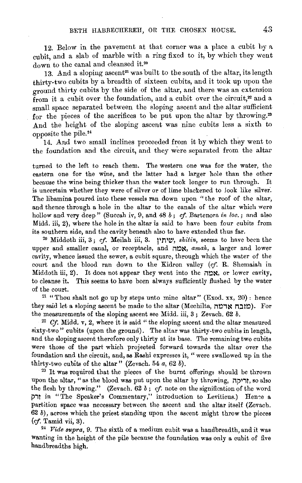12. Below in the pavement at that corner was a place a cubit by a cubit, and a slab of marble with a ring fixed to it, by which they went down to the canal and cleansed it.<sup>20</sup>

13. And a sloping ascent<sup>21</sup> was built to the south of the altar, its length thirty·two cubits by a breadth of sixteen cubits, and it took up upon the ground thirty cubits by the side of the altar, and there was an extension from it a cubit over the foundation, and a cubit over the circuit, $x$  and a small space separated between the sloping ascent and the altar sufficient for the pieces of the sacrifices to be put upon the altar by throwing.<sup>23</sup> And the height of the sloping ascent was nine cubits less a sixth to opposite the pile.<sup>24</sup>

14. And two small inclines proceeded from it by which they went to the foundation and the circuit, and they were separated from the altar

turned to the left to reach them. The western one was for the water, the eastern one for the wine, and the latter had a larger hole than the other because the wine being thicker than the water took longer to run through. It is uncertain whether they were of silver or of lime blackened to look like silver·. The libamina poured into these vessels ran down upon " the roof of the altar, and thence through a hole in the altar to the canals of the altar which were hollow and very deep" (Succah iv, 9, and 48 *b* ; cf. Bartenora *in loc.* ; and also Midd. iii, 2), where the hole in the altar is said to have been four cubits from its southern side, and the cavity beneath also to have extended thus far. 20 Middoth iii, 3; *cf.* Meilah iii, 3. **pn1t::',** *shitin,* seems to have been the

upper and smaller canal, or receptacle, and  $\mathbb{R}$  amah, a larger and lower cavity, whence issued the sewer, a cubit square, through which the water of the court and the blood ran down to the Kidron valley *(cf.* R. Shemaiah in Middoth iii, 2). It does not appear they went into the  $n \times$ , or lower cavity, to cleanse it. This seems to have been always sufficiently flushed by the water of the court.

 $21$  "Thou shalt not go up by steps unto mine altar" (Exod. xx, 20): hence they said let a sloping ascent be made to the altar (Mechilta, יומנה אדמה). For the measurements of the sloping ascent see Midd. iii, 3 ; Zevach. 62 *b.* 

 $22$  Cf. Midd. v, 2, where it is said "the sloping ascent and the altar measured sixty-two" cubits (upon the ground). The altar was thirty·two cubits in length, and the sloping ascent therefore only thirty at its base. The remaining two cubits were those of the part which projected forward towards the altar over the foundation and the circuit, and, as Rashi expresses it, "were swallowed up in the thirty·two cubits of the altar" (Zevach. 54 *a,* 62 *b).* 

<sup>23</sup> It was required that the pieces of the burnt offerings should be thrown upon the altar, " as the blood was put upon the altar by throwing, **increases** ,  $\mathsf{if}(\mathbf{x})$ the flesh by throwing." (Zevach. 62 *b* ; cf. note on the signification of the word **j)i!** in "The Speaker's Commentary," introduction to Leviticus.) Hen~e a partition space was necessary between the ascent and the altar itself (Zevach.  $62 b$ , across which the priest standing upon the ascent might throw the pieces *(if.* Tamid vii, 3).

<sup>~</sup>*Vide supra,* 9. The sixth of a medium cubit was a handbreadth, and it was wanting in the height of the pile because the foundation was only a cubit of five handbreadths high.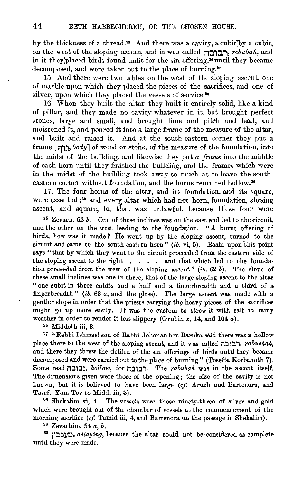by the thickness of a thread.<sup>25</sup> And there was a cavity, a cubit by a cubit, on the west of the sloping ascent, and it was called **הבובה**, *rebubah*, and in it they placed birds found unfit for the sin offering;<sup>26</sup> until they became decomposed, and were taken out to the place of burning.<sup>27</sup>

15. And there were two tables on the west of the sloping ascent, one of marble upon which they placed the pieces of the sacrifices, and one of silver, upon which they placed the vessels of service.<sup>28</sup>

16. When they built the altar they built it entirely solid, like a kind of pillar, and they made no cavity whatever in it, but brought perfect stones, large and small, and brought lime and pitch and lead, and moistened it, and poured it into a large frame of the measure of the altar, and built and raised it. And at the south-eastern corner they put a frame [יָרָה, *body*] of wood or stone, of the measure of the foundation, into the midst of the building, and likewise they put *a frame* into the middle of each horn until they finished the building, and the frames which were in the midst of the building took away so much as to leave the southeastern corner without foundation, and the horns remained hollow.<sup>29</sup>

17. The four horns of the altar, and its foundation, and its square, were essential ;<sup>30</sup> and every altar which had not horn, foundation, sloping ascent, and square, lo, that was unlawful, because these four were

25 Zevach. 62 *b.* One of these inclines was on the east and led to the circuit, and the other on the west leading to the foundation. "A burnt offering of birds, bow was it made? He went up by the sloping ascent, turned to the circuit and came to the south-eastern horn"  $(ib. vi, 5)$ . Rashi upon this point says " that by which they went to the circuit proceeded from the eastern side of the sloping ascent to the right . . . . and that which led to the foundation proceeded from the west of the sloping ascent" *(ib.* 62 *b).* The slope of these small inclines was one in three, that of the large sloping ascent to the altar "one cubit in three cubits and a half and a fingerbreadth and a third of a fingerbreadth" (ib. 63 *a,* and the gloss). The large ascent was made with a gentler slope in order that the priests carrying the heavy pieces of the sacrifices might go up more easily. It was the custom to strew it with salt in rainy weather in order to render it less slippery (Grubin x, 14, and 104 *a).* 

<sup>26</sup> Middoth iii, 3.<br><sup>27</sup> "Rabbi Ishmael son of Rabbi Johanan ben Baruka said there was a hollow place there to the west of the sloping ascent, and it was called **information**, *rabuchah*, and there they threw the defiled of the sin offerings of birds until they became decomposed and were carried out to the place of burning" (Tosefta Korbanoth 7). Some read i1:ll:l~, *hollow,* for **i1:ll:li.** The *rabubak* was in the ascent itself. The dimensions given were those of the opening; the size of the cavity is not known, but it is believed to have been large *(cf.* Aruch and Bartenora, and Tosef. Yom Tov to Midd. iii, 3).<br><sup>28</sup> Shekalim vi, 4. The vessels were those ninety-three of silver and gold

which were brought out of the chamber of vessels at the commencement of the morning sacrifice *(cf.* Tamid iii, 4, and Bartenora on the passage in Shekalim).

29 Zevachim, 54 *a, b.* 

<sup>30</sup>**)l::l::ll/0•** *delaying,* because the altar could not be ·considered as complete until they were made.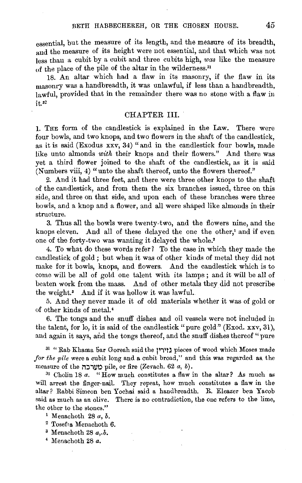essential, but the measure of its length, and the measure of its breadth, and the measure of its height were not essential, and that which was not less than a cubit by a cubit and three cubits high, *was* like the measure of the place of the pile of the altar in the wilderness.<sup>31</sup>

18. An altar which had a flaw in its masonry, if the flaw in its masonry was a handbreadth, it was unlawful, if less than a handbreadth, lawful, provided that in the remainder there was no stone with a flaw in it.<sup>32</sup>

#### CHAPTER IlL

1. THE form of the candlestick is explained in the Law. There were four bowls, and two knops, and two flowers in the shaft of the candlestick, as it is said (Exodus xxv, 34) "and in the candlestick four bowls, made like unto almonds *with* their knops and their flowers." And there was yet a third flower joined to the shaft of the candlestick, as it is said (Numbers viii, 4) "unto the shaft thereof, unto the flowers thereof."

2. And it had three feet, and there were three other knops to the shaft of the candlestick, and from them the six branches issued, three on this side, and three on that side, and upon each of these branches were three bowls, and a knop and a flower, and all were shaped like almonds in their structure.

3. Thus all the bowls were twenty-two, and the flowers nine, and the knops eleven. And all of these delayed the one the other,' and if even one of the forty-two was wanting it delayed the whole.<sup>2</sup>

4. To what do these words refer? To the case in which they made the candlestick of gold ; but when it was of other kinds of metal they did not make for it bowls, knops, and flowers. And the candlestick which is to come will be all of gold one talent with its lamps ; and it will be all of beaten work from the mass. And of other metals they did not prescribe the weight.<sup>3</sup> And if it was hollow it was lawful.

5. And they never made it of old materials whether it was of gold or of other kinds of metal. 4

6. The tongs and the snuff dishes and oil vessels were not included in the talent, for lo, it is said of the candlestick " pure gold" (Exod. xxv, 31 ), and again it says, and the tongs thereof, and the snuff dishes thereof "pure

<sup>31</sup> "Rab Khama bar Goreah said the נוירין" pieces of wood which Moses made *for the pile* were a cubit long and a cubit broad," and this was regarded as. the measure of the **i1::lill0** pile, or fire (Zevach. 62 *a,* b).

<sup>32</sup> Cholin 18 *a*. "How much constitutes a flaw in the altar? As much as will arrest the finger-nail. They repeat, how much constitutes a flaw in the altar? Rabbi Simeon ben Yochai said a handbreadth. R. Eleazer ben Yacob said as much as an olive. There is no contradiction, the one refers to the lime, the other to the stones."

- 2 Tosefta Menachoth 6.
- 3 Menachoth 28 *a,.b.*
- 4 Menachoth 28 *a.*

<sup>1</sup> Menachoth 28 *a, b.*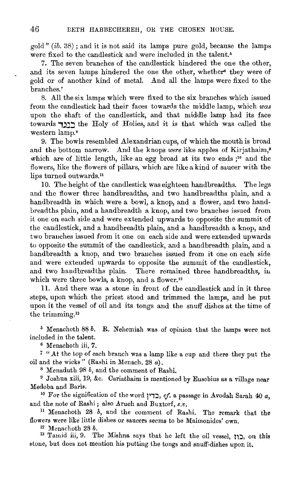$\text{gold}$ " (ib. 38); and it is not said its lamps pure gold, because the lamps were fixed to the candlestick and were included in the talent.<sup>5</sup>

7. The seven branches of the candlestick hindered the one the other, and its seven lamps hindered the one the other, whether<sup>6</sup> they were of gold or of another kind of metal. And all the lamps were fixed to the branches.'

8. All the six lamps which were fixed to the six branches which issued from the candlestick had their faces towards the middle lamp, which *was*  upon the shaft of the candlestick, and that middle lamp had its face towards רונד the Holy of Holies, and it is that which was called the western lamp.<sup>8</sup>

9. The bowls resembled Alexandrian cups, of which the mouth is broad and the bottom narrow. And the knops *were* like apples of Kirjathaim,• which are of little length, like an egg broad at its two ends ;<sup>10</sup> and the flowers, like the flowers of pillars, which are like a kind of saucer with the lips turned outwards.<sup>11</sup>

10. The height of the candlestick was eighteen handbreadths. The legs and the flower three handbreadths, and two handbreadths plain, and a handbreadth in which were a bowl, a knop, and a flower, and two handbreadths plain, and a handbreadth a knop, and two branches issued from it one on each side and were extended upwards to opposite the summit of the candlestick, and a handbreadth plain, and a handbreadth a knop, and two branches issued from it one on each side and were extended upwards to opposite the summit of the candlestick, and a handbreadth plain, and a handbreadth a knop, and two branches issued from it one on each side and were extended upwards to opposite the summit of the candlestick, and two handbreadths plain. There remained three handbreadths, in which were three bowls, a knop, and a flower.<sup>12</sup>

11. And there was a stone in front of the candlestick and in it three steps, upon which the priest stood and trimmed the lamps, and he put upon it the vessel of oil and its tongs and the snuff dishes at the time of the trimming.<sup>13</sup>

<sup>5</sup> Menachoth 88 *b*. R. Nehemiah was of opinion that the lamps were not included in the talent. 6 Menachoth iii, 7.

7 ".At the top of each branch was a lamp like a cup and there they put the oil and the wicks" (Rashi in Menach. 28 *a).* 

<sup>8</sup> Menaduth 98 *b*, and the comment of Rashi.<br><sup>9</sup> Joshua xiii, 19, &c. Cariathaim is mentioned by Eusebius as a village near Medoba and Baris.

<sup>10</sup> For the signification of the word רְבְרוֹן, cf. a passage in Avodah Sarah 40  $a$ , and the note of Rashi; also Aruch and Buxtorf, s.v.

<sup>11</sup>Menachoth 28 *b,* and the comment of Rashi. The remark that the flowers were like little dishes or saucers seems to be Maimonides' own.

12 Menachoth 28 *b.* 

13 Tamid iii, 9. The Mishna says that he left the oil vessel, כון, on this stone, but does not mention his putting the tongs and snuff.dishes upon it.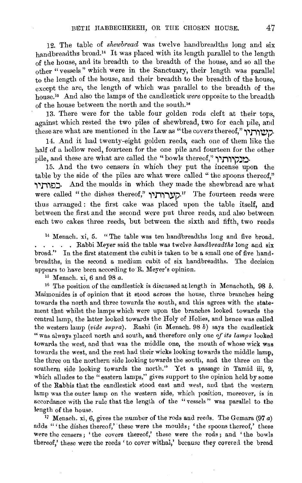12. The table of *shewbread* was twelve handbreadths long and six handbreadths broad.<sup>14</sup> It was placed with its length parallel to the length of the house, and its breadth to the breadth of the house, and so all the other "vessels" which were in the Sanctuary, their length was parallel to the length of the house, and their breadth to the breadth of the house, except the arc, the length of which was parallel to the breadth of the house.<sup>15</sup> And also the lamps of the candlestick *were* opposite to the breadth of the house between the north and the south.<sup>16</sup>

13. There were for the table four golden rods cleft at their tops, against which rested the two piles of shewbread, two for each pile, and  $t$ these are what are mentioned in the Law as "the covers thereof," הישורתיך.

14. And it had twenty-eight golden reeds, each one of them like the half of a hollow reed, fourteen for the one pile and fourteen for the other pile, and these are what are called the "bowls thereof," "בובקירותיר

15. And the two censers in which they put the incense upon the table by the side of the piles are what were called "the spoons thereof," ~~!i~!:l:l· And the moulds in which they made the shewbread are what were called "the dishes thereof," הערותיך." The fourteen reeds were thus arranged : the first cake was placed upon the table itself, and between the first and the second were put three reeds, and also between each two cakes three reeds, but between the sixth and fifth, two reeds

14 Menach. xi, 5. "The table was ten handbreadths long and five broad. . Rabbi Meyer said the table was twelve *handbreadths* long and six broad." In the first statement the cubit is taken to be a small one of five handbreadths, in the second a medium cubit of six handbreadths. The decision appears to have been according to R. Meyer's opinion.

' 5 M enach. xi, 6 and 98 *a.* 

16 The position of the candlestick is discussed at length in Menachoth, 98 *b.*  Maimonides is of opinion that it stood across the house, three branches being towards the north and three towards the south, and this agrees with the statement that whilst the lamps which were upon the branches looked towards the central lamp, the latter looked towards the Holy of Holies, and hence was called the western lamp *(vide supra).* Rashi (in Menach. 98 *b)* says the candlestick "was always placed north and south, and therefore only one *of its lamps* looked towards the west, and that was the middle one, the mouth of whose wick was towards the west, and the rest had their wicks looking towards the middle lamp, the three on the northern side looking towards the south, and the three on the southern side looking towards the north." Yet a passage in Tamid iii, 9, which alludes to the "eastern lamps," gives support to the opinion held by some of the Rabbis that the candlestick stood east and west, and that the western lamp was the outer lamp on the western side, which position, moreover, is in accordance with the rule that the length of the "vessels" was parallel to the

length of the house.<br><sup>17</sup> Menach. xi, 6, gives the number of the rods and reeds. The Gemara (97 a) adds "'the dishes thereof,' these were the moulds; 'the spoons thereof,' these were the censers ; 'the covers thereof,' these were the rods ; and 'the bowls thereof,' these were the reeds 'to cover withal,' because they covered the bread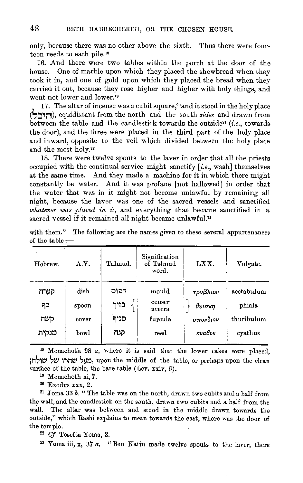only, because there was no other above the sixth. Thus there were fom· teen reeds to each pile.'8

16. And there were two tables within the porch at the door of the house. One of marble upon which they placed the shewbread when they took it in, and one of gold upon which they placed the bread when they carried it out, because they rose higher and higher with holy things, and went not lower and lower.<sup>19</sup>

17. The altar of incense was a cubit square,<sup>20</sup> and it stood in the holy place **(S.::J.,:-1),** equidistant from the north and the south *sides* and drawn from between the table and the candlestick towards the outside<sup>21</sup> (*i.e.*, towards the door), and the three were placed in the third part of the holy place and inward, opposite to the veil which divided between the holy place and the most holy.22

18. There were twelve spouts to the laver in order that all the priests occupied with the continual service might sanctify *[i.e.,* wash] themselves at the same time. And they made a machine for it in which there might constantly be water. And it was profane [not hallowed] in order that the water that was in it might not become unlawful by remaining all night, because the laver was one of the sacred vessels and sanctified *whatever was placed in it,* and everything that became sanctified in a sacred vessel if it remained all night became unlawful.<sup>23</sup>

| Hebrew.           | A.V.                   | Talmud.              | Signification<br>of Talmud<br>word.  | LXX.                           | Vulgate.                           |
|-------------------|------------------------|----------------------|--------------------------------------|--------------------------------|------------------------------------|
| קערה<br>כף<br>סשה | dish<br>spoon<br>cover | דפוס<br>בזיך<br>סניף | mould<br>censer<br>acerra<br>furcula | τρυβλιον<br>θυισκη<br>σπονδιον | acetabulum<br>phiala<br>thuribulum |
| מנקית             | bowl                   | קנה                  | reed                                 | κυαθος                         | cyathus                            |

with them." The following are the names given to these several appurtenances of the table: $-$ 

1 8 Menachoth 98 *a,* where it is said that the lower cakes were placed, מעל שהרו של שולחו. upon the middle of the table, or perhaps upon the clean surface of the table, the bare table (Lev.  $\overline{x}$ iv, 6). <sup>19</sup> Menachoth xi, 7.

<sup>20</sup> Exodus xxx, 2.<br><sup>21</sup> Joma 33 *b.* "The table was on the north, drawn two cubits and a half from the wall, and the candlestick on the south, drawn two cubits and a half from the wall. The altar was between and stood in the middle drawn towards the outside," which Rashi explains to mean towards the east, where was the door of the temple.

<sup>22</sup> Cf. Tosefta Yoma, 2.

23 Yoma iii, **x,** 37 *a.* "Ben Katin made twelve spouts to the laver, there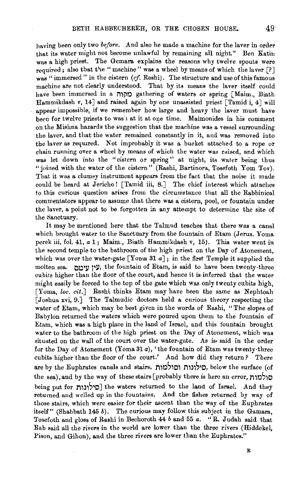having been only two *before*. And also he made a machine for the laver in order that its water might not become unlawful by remaining all night." Ben Katin was a high priest. The Gemara explains the reasons why twelve spouts were required; also that the "machine" was a wheel by means of which the laver  $[?]$ was "immersed" in the cistern *(cf.* Rashi). The structure and use of this famous machine are not clearly understood. That by its means the laver itself could have been immersed in a מקוה gathering of waters or spring [Maim., Biath Hammikdash v, 14] and raised again by one unassisted priest [Tamid i, 4] will appear impossible, if we remember how large and heavy the laver must have been for twelve priests to was:1 at it at one time. Maimonides in his comment on the Mishna hazards the suggestion that the machine was a vessel surrounding the laver, and that the water remained constantly in it, and was removed into the laver as required. Not improbably it was a bucket attached to a rope or chain running over a wheel by means of which the water was raised, and which was let down into the ''cistern or spring" at night, its water being thus "joined with the water of the cistern" (Rashi, Bartinora, Tosefoth Yom Tov). That it was a clumsy instrument appears from the fact that the noise it made could be heard at Jericho! [Tamid iii, 8.] The chief interest which attaches to this curious question arises from the circumstance that all the Rabbinical commentators appear to assume that there was a cistern, pool, or fountain under the laver, a point not to be forgotten in any attempt to determine the site of the Sanctuary.

It may be mentioned here that the Talmud teaches that there was a canal which brought water to the Sanctuary from the fountain of Etam (Jerus. Yoma perek iii, fol. 41, *a* 1; Maim., Biath Hammikdash v, 15). This water went in the second temple to the bathroom of the high priest on the Day of Atonement, which was over the water-gate [Yoma 31  $a$ ]; in the first Temple it supplied the molten sea. טיו ווימה, the fountain of Etam, is said to have been twenty-three cubits higher than the floor of the court, and hence it is inferred that the water might easily be forced to the top of the gate which was only twenty cubits high, [Yoma, *loc. cit.J* Rashi thinks Etam may have been the same as Nephtoah [Joshua xvi, 9.] The Talmudic doctors held a curious theory respecting the water of Etam, which may be best given in the words of Rashi, "The slopes of Babylon returned the waters which were poured upon them to the fountain of Etam, which was a high place in the land of Israel, and this fountain brought water to the bathroom of the high priest on the Day of Atonement, which was situated on the wall of the court over the water-gate. As is• said in the order for the Day of Atonement (Yoma31 *a),'* the fountain of Etam was twenty·three cubits higher than the floor of the court.' And how did they return? There are by the Euphrates canals and stairs, סילונות וסולמות, below the surface (of the sea), and by the way of these stairs [probably there is here an error, חולמות being put for  $\Box$ סילונות the waters returned to the land of Israel. And they returned and welled up in the fountains. And the fishes returned by way of those stairs, which were easier for their ascent than the way of the Euphrates itself" (Shabbath 145  $b$ ). The curious may follow this subject in the Gamara, Tosefoth and gloss of Rashi in Bechoroth 44 band 55 *a.* "R. Judah said that Rab said all the rivers in the world are lower than the three rivers (Hiddekel, Pison, and Gihon), and the three rivers are lower than the Euphrates."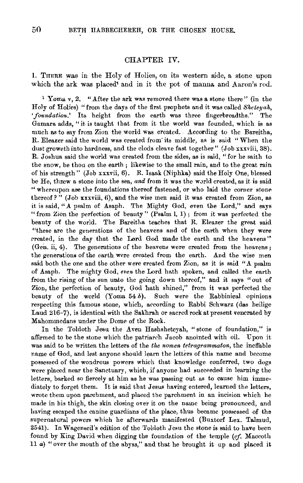## CHAPTER IV.

1. THERE was in the Holy of Holies, on its westem side, a stone upon which the ark was placed' and in it the pot of manna and Aaron's rod.

<sup>1</sup> Yoma v, 2. "After the ark was removed there was a stone there" (in the Holy of Holies) "from the days of the first prophets and it was called *Sketeyak,*  'foundation.' Its height from the earth was three fingerbreadths." The Gamara adds, "it is taught that from it the world was founded, which is as much as to say from Zion the world was created. According to the Bareitha, R. Eleazer said the world was created from' its middle, as is said "When the dust groweth into hardness, and the clods cleave fast together" (Job xxxviii, 38). R. Joshua said the world was created from the sides, as is said, "for he saith to the snow, be thou on the earth; likewise to the small rain, and to the great rain of his strength" (Job xxxvii, 6). R. Isaak (Niphka) said the Holy One, blessed be He, threw a stone into the sea, and from it was the world created, as it is said "whereupon are the foundations thereof fastened, or who laid the corner stone thereof?" (Job  $\overline{x}$ xxviii, 6), and the wise men said it was created from Zion, as it is said, "A psalm of Asaph. The Mighty God, even the Lord," and says "from Zion the perfection of beauty" (Psalm 1, 1); from it was perfected the beauty of the world. The Bareitha teaches that R. Eleazer the great said "these are the generations of the heavens and of the earth when they were rreated, in the day that the Lord God made the earth and the heavens" (Gen. ii, 4). The generations of the heavens were created from the heavens; the generations of the earth were created from the earth. And the wise men said both the one and the other were created from Zion, as it is said "A psalm of Asaph. The mighty God, even the Lord hath spoken, and called the earth from the rising of the sun unto the going down thereof," and it says "out of Zion, the perfection of beauty, God bath shined," from it was perfected the beauty of the world (Yoma 54 $b$ ). Such were the Rabbinical opinions respecting this famous stone, which, according to Rabbi Schwarz (das heilige Laud 216-7), is identical with the Sakhrah or sacred rock at present venerated by Mahommedans under the Dome of the Rock.

In the Toldoth Jesu the Aven Hashsheteyah, "stone of foundation," is affirmed to be the stone which the patriarch Jacob anointed with oil. Upon it was said to be written the letters of the *the nomen tetragrammaton,* the ineffable name of God, and lest anyone should learn the letters of this name and become possessed of the wondrous powers which that knowledge conferred, two dogs were placed near the Sanctuary, which, if anyone had succeeded in learning the letters, barked so fiercely at him as he was passing out as to cause him imme· diately to forget them. It is said that Jesus having entered, learned the letters, wrote them upon parchment, and placed tbe parchment in an incision which he made in his thigh, the skin closing over it on the name being pronounced, and having escaped the canine guardians of the place, thus became possessed of the supernatural powers which he afterwards manifested (Buxtorf Lex. Talmud, 2541). In Wagenseil's edition of the Toldoth Jesu the stone is said to have been found by King David when digging the foundation of the temple *(cf. Maccoth*) 11 *a)* "over the mouth of the abyss," and that he brought it up and placed it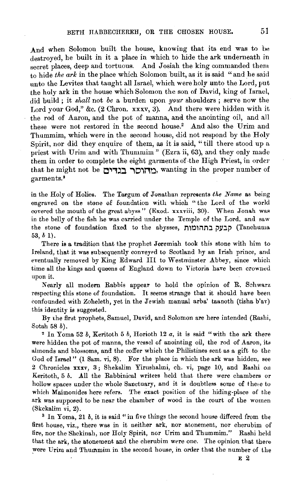And when Solomon built the house, knowing that its end was to be destroyed, he built in it a place in which to hide the ark underneath in secret places, deep and tortuous. And Josiah the king commanded them to hide *the ark* in the place which Solomon built, as it is said "and he said unto the Levites that taught all Israel, which were holy unto the Lord, put the holy ark in the house which Solomon the son of David, king of Israel, did build ; it *shall* not *be* a burden upon *ygur* shoulders ; serve now the Lord your God," &c. (2 Chron. xxxv, 3). And there were hidden with it the rod of Aaron, and the pot of manna, and the anointing oil, and all these were not restored in the second house.2 And also the Urim and Thummim, which were in the second house, did not respond by the Holy Spirit, nor did they enquire of them, as it is said, "till there stood up a priest with Urim and with Thummim" (Ezra ii, 63), and they only made them in order to complete the eight garments of -the High Priest, in order that he might not be 0.,1~:1 **""'101110,** wanting in the proper number of garments.•

in the Holy of Holies. The Targum of Jonathan represents the Name as being engraved on the stone of foundation with which " the Lord of the world covered the mouth of the great abyss" (Exod. xxxviii, 30). When Jonah was in the belly of the fish he was carried under the Temple of the Lord, and saw the stone of foundation fixed to the abysses, הבעקבתהומות 53, *b* 1).

There is a tradition that the prophet Jeremiah took this stone with him to Ireland, that it was subsequently conveyed to Scotland hy an Irish prince, and eventually removed by King Edward III to Westminster Abbey, since which time all the kings and queens of England down to Victoria have been crowned upon it.

Nearly all modern Rabbis appear to hold the opinion of R. Schwarz respecting this stone of foundation. It seems strange that it should have been confounded with Zoheleth, yet in the Jewish manual arba' taanoth (tisha b'av) this identity is suggested.

By the first prophets, Samuel, David, and Solomon are here intended (Rashi, Sotah 58 $b$ ).

<sup>2</sup> In Yoma 52  $b$ , Keritoth 5  $b$ , Horioth 12  $a$ , it is said "with the ark there were hidden the pot of manna, the vessel of anointing oil, the rod of Aaron, its almonds and blossoms, and the coffer which the Philistines sent as a gift to the God of Israel" (1 Sam. vi, 8). For the place in which the ark was hidden, see 2 Chronicles xxxv, 3; Shekalim Yirushalmi, eh. vi, page 10, and Rashi on Keritoth, 5 *b.* All the Rabbinical writers held that there were chambers or hollow spaces under the whole Sanctuary, and it is doubtless some of the;e to which Maimonides here refers. The exact position of the hiding-place of the ark was supposed to be near the chamber of wood in the court of the women (Skekalim vi, 2).  $\frac{3 \text{ In } Y \text{ or } 2 \text{ in } 2}$ , it is said "in five things the second house differed from the

first house, viz., there was in it neither ark, nor atonement., nor cherubim of fire, nor the Shekinah, nor Holy Spirit, nor Urim and Thummim." Rashi held that the ark, the atonement and the cherubim were one. The opinion that there were Urim and Thummim in the second house, in order that the number of the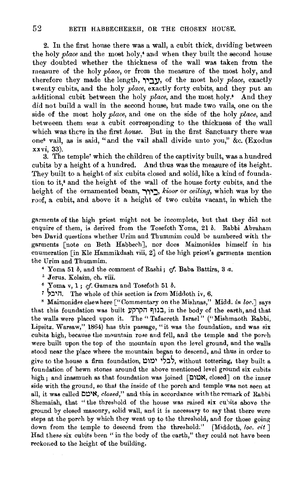2. In the first house there was a wall, a cubit thick, dividing between the holy *place* and the most holy,' and when they built the second house they doubted whether the thickness of the wall was taken from the measure of the holy *place,* or from the measure of the most holy, and therefore they made the length, **,.,:ll'•** of the most holy *place,* exactly twenty cubits, and the holy *place,* exactly forty cubits, and they put an additional cubit between the holy *place,* and the most. holy.• And they did not build a wall in the second house, but made two vails, one on the side of the most holy *place,* and one on the side of the holy *place,* and hetweeen them *was* a cubit corresponding to the thickness of the wall which was there in the first *house.* But in the first Sanctuary there was one• vail, as is said, "and the vail shall divide unto you," &c. (Exodus xxvi, 33).

3. The temple' which the children of the captivity built, was a hundred cubits by a height of a hundred. And thus was the measure of its height. They built to a height of six cubits closed and solid, like a kind of foundation to it,• and the height of the wall of the house forty cubits, and the height of the ornamented beam, **,,.,::l,** *lcioor* or *ceiling,* which was by the roof, a cubit, and above it a height of two cubits vacant, in which the

garments of the high priest might not be incomplete, but that they did not enquire of them, is derived from the Tosefoth Yoma, 21 b. Rabbi Abraham ben David questions whether Urim and Thummim could *be* numbered with tht· garments [note on Beth Habbech ], nor does Maimonides himself in his enumeration [in Kle Hammikdash viii, 2] of the high priest's garments mention the Urim and Thummim. 4 Yoma 51 *b,* and the comment of Rashi; cf. Baba Battira, 3 *a.* 

- 
- 
- $5$  Jerus. Kelaim, ch. viii.<br> $6$  Yoma v, 1; *cf.* Gamara and Tosefoth 51 *b*.
- $\bar{i}$ . The whole of this section is from Middoth iv, 6.

<sup>8</sup> Maimonides elsewhere ["Commentary on the Mishnas," Midd. *in loc.*] says that this foundation was built בגוף הקרקע. in the body of the earth, and that the walls were placed upon it. The" Tafaereth Israel" ("Mishmaoth Rabbi, Lipsitz. Warsaw," 1864) has this passage, "it was the foundation, and was six cubits high, because the mountain rose and fell, and the temple and the porch were built upon the top of the mountain upon the level ground, and the walls stood near the place where the mountain began to descend, anu thus in order to give to the house a firm foundation, לבלי ימום, without tottering, they built a foundation of hewn stones around the above mentioned level ground six cubits high; and inasmuch as that foundation was joined  $[1\text{N}, \text{closed}]$  on the inner side with the ground, so that the inside of the porch and temple was not seen at all, it was called l:l~ 1i't, *closed,"* and this in accordance with the remark of Rabbi Shemaiah, that "the threshold of the house was raised six cubits above the ground by closed masonry, solid wall, and it is necessary to say that there were steps at the porch by which they went up to the threshold, and for those going down from the temple to descend from the threshold." [Middoth, *loc. cit* ] Had these six cubits been "in the body of the earth," they could not have been reckoned to the height of the building.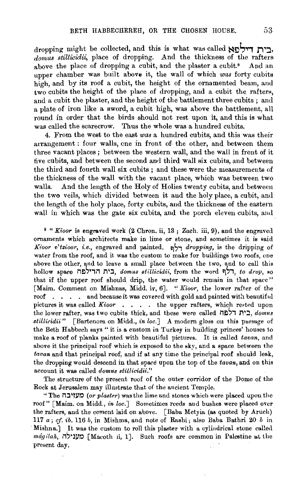dropping might be collected, and this is what was called **ויל הא** *domus stillicidii,* place of dropping. And the thickness of the rafters above the place of dropping a cubit, and the plaster a cubit.<sup>9</sup> And an upper chamber was built above it, the wall of which *was* forty cubits high, and by its roof a cubit, the height of the ornamented beam, and  $t_{\text{wo}}$  cubits the height of the place of dropping, and a cubit the rafters, and a cubit the plaster, and the height of the battlement three cubits ; and a plate of iron like a sword, a cubit high, was above the battlement, all round in order that the birds should not rest upon it, and this is what was called the scarecrow. Thus the whole was a hundred cubits.

4. From the west to the east *was* a hundred cubits, and this was their arrangement : four walls, cne in front of the other, and between them three vacant places ; between the western wall, and the wall in front of it five cubits, and between the second and third wall six cubits, and between the third and fourth wall six cubits ; and these were the measurements of the thickness of the wall with the vacant place, which was between two walls. And the length of the Holy of Holies twenty cubits, and between the two veils, which divided between it and the holy place, a cubit, and the length of the holy place, forty cubits, and the thickness of the eastem wall in which was the gate six cubits, and the porch eleven cubits, and.

<sup>9</sup> "Kioor is engraved work (2 Chron. ii, 13; Zach. iii, 9), and the engraved ornaments which architects make in lime or stone, and sometimes it is said *Kioor v'tzioor, i.e.,* engraved and painted. !:'\~, *dropping,* is the dripping of water from the roof, and it was the custom to make for buildings two roofs, one above the other, and to leave a small place between the two, and to call this hollow ~pace i1£)~ ,il **r1 <sup>1</sup>::l,** *domus stillicidi>:,* from the word ~~,, *to drop,* so that if the upper roof should drip, the water would remain in that space" [Maim. Comment on Mishnas, Midd. iv, 6]. " *Kioor,* the lower rafter of the roof . . . and because it was covered with gold and painted with beautiful pictures it was called *Kioor* . . . . the upper rafters, which rested upon the lower rafter, was two cubits thick, and these were called i1El~, **1'1':1,** *domus stillicidii*" [Bartenora on Midd., *in loc.*] A modern gloss on this puesage of the Beth Habbech says " it is a custom in Turkey in building princes' houses to make a roof of planks painted with beautiful pictures. It is called *tavan,* and above it the principal roof which is exposed to the •ky, and a space between the *tavan* and that principal roof, and if at any time the principal roof should leak, the dropping would descend in that space upon the top of the *tavan,* and on this account it was called *domus stitlicidii."* 

The structure of the present roof of the outer corridor of the Dome of the Rock at Jerusalem may illustrate that of the ancient Temple.

''The **il:JI!l/0** *(or plaster)* was the lime and stones which were placed upon the roof" [Maim. on Midd., *in loc.*] Sometimes reeds and bushes were placed over the rafters, and the cement laid on above. [Baba Metyia (as quoted by Aruch) 117 *a; cf. ib.* 116 *b,* in Mishma, and note of Rashi; also Baba Bathri 20 *b* in Mishna.) It was the custom to roll this plaster with a cylindrical stone called *mágilah*, **civital [Macoth ii, 1]. Such roofs are common in Palestine at the** present day.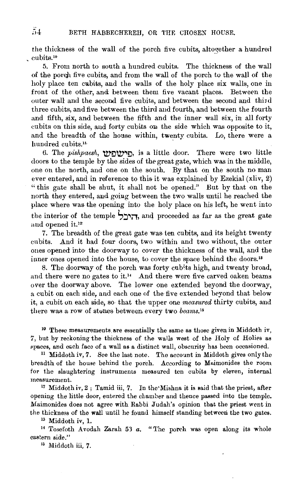the thickness of the wall of the porch five cubits, altogether a hundred cubits.<sup>10</sup>

5. From north to south a hundred cubits. The thickness of the wall of the porch five cubits, and from the wall of the porch to the wall of the holy place ten cubits, and the walls of the holy place six walls, one in front of the other, and between them five vacant places. Between the outer wall and the second five cubits, and between the second and third three cubits, and five between the third and fourth, and between the fourth and fifth, six, and between the fifth and the inner wall six, in all forty cubits on this side, and forty cubits on the side which was opposite to it, and the breadth of the house within, twenty cubits. Lo, there were a hundred cubits<sup>11</sup>

6. The *pisApaesh,* U)'!:)'\V'~!:), is a little door. There were two little doors to the temple by the sides of the great gate, which was in the middle, one on the north, and one on the south. By that on the south no man ever entered, and in reference to this it was explained by Ezekial  $(xliv, 2)$ "this gate shall be shut, it shall not be opened." But by that on the north they entered, and going between the two walls until he reached the place where was the opening into the holy place on his left, he went into the interior of the temple  $\frac{1}{2}$ . and proceeded as far as the great gate and opened it.<sup>12</sup>

7. The breadth of the great gate was-ten cubits, and its height twenty cubits. And it had four doors, two within and two without, the outer ones opened into• the doorway to cover the thickness of the wall, and the inner ones opened into the house, to cover the space behind the doors."

8. The doorway of the porch was forty cubits high, and twenty broad, and there were no gates to it.'• And there were five carved oaken beams over the doorway above. The lower one extended beyond the doorway, a cubit on each side, and each one of the five extended beyond that below it, a cubit on each side, so that the upper one *measured* thirty cubits, and there was a row of stones between every two *beams.*<sup>15</sup>

 $10$  These measurements are essentially the same as those given in Middoth iv, 7, but by reckoning the thickness of the walls west of the Holy of Holies as spaces, and each face of a wall as a distinct wall, obscurity has been occasioned.

<sup>11</sup> Middoth iv, 7. See the last note. The account in Middoth gives only the breadth of the house behind the porch. According to Maimonides the room for the slaughtering instruments measured ten cubits by eleven, internal measurement.<br><sup>12</sup> Middoth iv, 2; Tamid iii, 7. In the Mishna it is said that the priest, after

opening the little door, entered the chamber and thence passed into the temple. Maimonides does not agree with Rabbi Judah's opinion that the priest went in the thickness of the wall until he found himself standing between the two gates.<br><sup>13</sup> Middoth iv, 1.<br><sup>14</sup> Tosefoth Avodah Zarah 53 *a*. "The porch was open along its whole

eastern side." 15 Middoth iii, 7.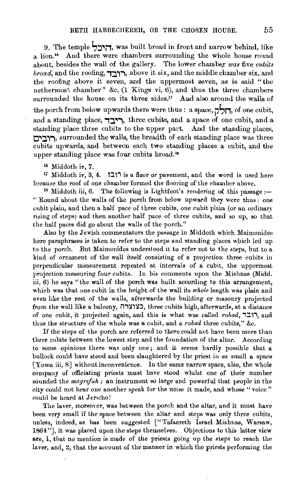9. The temple **S:J'Ij1,** was built broad in front and narrow behind, like a lion.<sup>16</sup> And there were chambers surrounding the whole house round about, besides the wall of the gallery. The lower chamber was five *cubits*  $broad$ , and the roofing, רובד, above it six, and the middle chamber six, and the roofing above it seven, and the uppermost seven, as is said "the nethermost chamber" &c. (1 Kings vi, 6), and thus the three chambers surrounded the house on its three sides.<sup>17</sup> And also around the walls of the porch from below upwards there were thus : a space, **יהל**, of one cubit, and a standing place, **רובד**, three cubits, and a space of one cubit, and a standing place three cubits to the upper part. And the standing places, רוביה, surrounded the walls, the breadth of each standing place was three cubits upwards, and between each two standing places a cubit, and the upper standing place was four cubits broad.<sup>16</sup>

16 Middoth iv, 7. 17 Middoth iv, 3, 4. **t:l'i** is a floor or pavement, and the· word is used here because the roof of one chamber formed the flooring of the chamber above. 1

<sup>18</sup> Middoth iii, 6. The following is Lightfoot's rendering of this passage :-" Round about the walls of the porch from below upward they were thus : oue cubit plain, and then a half pace of three cubits, one cubit plain (or an ordinary rising of steps) and then another half pace of three cubits, and so up, so that the half paces did go about the walls of the porch."

Also by the Jewish commentators the passage in Middoth which Maimonides here paraphrases is taken to refer to the steps and standing places which led up to the porch. But Maimonides understood it to refer not to the •teps, but to a kind of ornament of the wall itself consisting of a projection three cubits in perpendicular measurement repeated at intervals of a cubit, the uppermost projection measuring four cubits. In his comments upon the Mishnas (Midd. iii, 6) he says "the wall of the porch was built according to this arrangement, which was that one cubit in the height of the wall its *whole* length was plain and even like the rest of the walls, afterwards the building or masonry projected from the wall like a balcony, בצוצרה, three cubits high, afterwards, at a distance of one cubit, it projected again, and this is what was called *robad,* **1:lli,** and thus the structure of the whole was a cubit, and a *robad* three cubits," &c.

If the steps of the porch are referred to there could not have been more than three cubits between the lowest step and the foundation of the altar. According to some opinions there was only one; and it seems hardly possible that a bullock could have stood and been slaughtered by the priest in so small a space [Yoma iii, 8] without inconvenience. ln the same narrow space, also, the whole company of officiating priests must have stood whilst one of their number sounded the *magrefuh*; an instrument so large and powerful that people in the city could not hear one another speak for the noise it made, and whose " voice" could be heard at Jericho!

The laver, moreover, was between the porch and the altar, and it must have been very small if the spaee between the altar and steps was only three cubits, unless, indeed, as has been suggested [" Tafaereth Israel Mishnas, Warsaw, 1864 "], it was placed upon the steps themselves. Objections to this latter view are, 1, that no mention is made of the priests going up the steps to reach the laver, and, 2, that the account of the manner in which the priests performing the